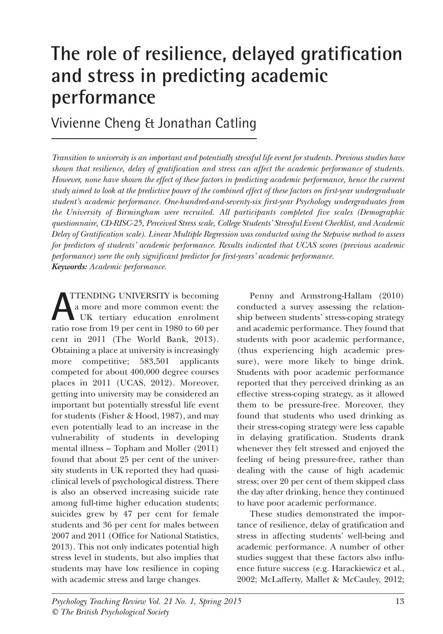# **The role of resilience, delayed gratification and stress in predicting academic performance**

Vivienne Cheng & Jonathan Catling

Transition to university is an important and potentially stressful life event for students. Previous studies have *shown that resilience, delay of gratification and stress can affect the academic performance of students. However, none have shown the effect of these factors in predicting academic performance, hence the current* study aimed to look at the predictive power of the combined effect of these factors on first-year undergraduate *student's academic performance. One-hundred-and-seventy-six first-year Psychology undergraduates from the University of Birmingham were recruited. All participants completed five scales (Demographic questionnaire, CD-RISC-25, Perceived Stress scale, College Students' Stressful Event Checklist, and Academic Delay of Gratification scale). Linear Multiple Regression was conducted using the Stepwise method to assess for predictors of students' academic performance. Results indicated that UCAS scores (previous academic performance) were the only significant predictor for first-years' academic performance. Keywords: Academic performance.*

TTENDING UNIVERSITY is becoming a more and more common event: the UK tertiary education enrolment **ATTENDING UNIVERSITY** is becoming<br>a more and more common event: the<br>tratio rose from 19 per cent in 1980 to 60 per cent in 2011 (The World Bank, 2013). Obtaining a place at university is increasingly more competitive; 583,501 applicants competed for about 400,000 degree courses places in 2011 (UCAS, 2012). Moreover, getting into university may be considered an important but potentially stressful life event for students (Fisher & Hood, 1987), and may even potentially lead to an increase in the vulnerability of students in developing mental illness – Topham and Moller (2011) found that about 25 per cent of the university students in UK reported they had quasiclinical levels of psychological distress. There is also an observed increasing suicide rate among full-time higher education students; suicides grew by 47 per cent for female students and 36 per cent for males between 2007 and 2011 (Office for National Statistics, 2013). This not only indicates potential high stress level in students, but also implies that students may have low resilience in coping with academic stress and large changes.

Penny and Armstrong-Hallam (2010) conducted a survey assessing the relationship between students' stress-coping strategy and academic performance. They found that students with poor academic performance, (thus experiencing high academic pressure), were more likely to binge drink. Students with poor academic performance reported that they perceived drinking as an effective stress-coping strategy, as it allowed them to be pressure-free. Moreover, they found that students who used drinking as their stress-coping strategy were less capable in delaying gratification. Students drank whenever they felt stressed and enjoyed the feeling of being pressure-free, rather than dealing with the cause of high academic stress; over 20 per cent of them skipped class the day after drinking, hence they continued to have poor academic performance.

These studies demonstrated the importance of resilience, delay of gratification and stress in affecting students' well-being and academic performance. A number of other studies suggest that these factors also influence future success (e.g. Harackiewicz et al., 2002; McLafferty, Mallet & McCauley, 2012;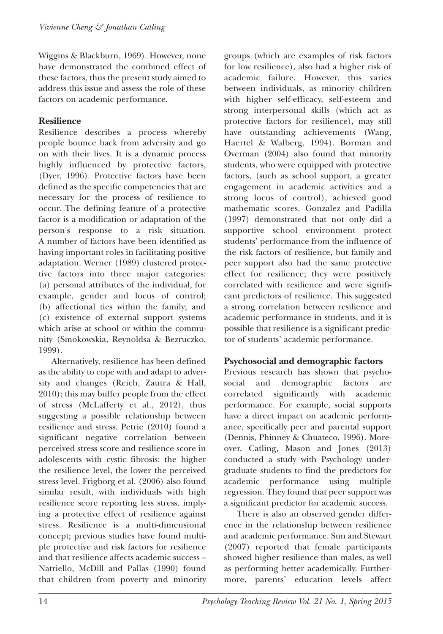Wiggins & Blackburn, 1969). However, none have demonstrated the combined effect of these factors, thus the present study aimed to address this issue and assess the role of these factors on academic performance.

#### **Resilience**

Resilience describes a process whereby people bounce back from adversity and go on with their lives. It is a dynamic process highly influenced by protective factors, (Dyer, 1996). Protective factors have been defined as the specific competencies that are necessary for the process of resilience to occur. The defining feature of a protective factor is a modification or adaptation of the person's response to a risk situation. A number of factors have been identified as having important roles in facilitating positive adaptation. Werner (1989) clustered protective factors into three major categories: (a) personal attributes of the individual, for example, gender and locus of control; (b) affectional ties within the family; and (c) existence of external support systems which arise at school or within the community (Smokowskia, Reynoldsa & Bezruczko, 1999).

Alternatively, resilience has been defined as the ability to cope with and adapt to adversity and changes (Reich, Zautra & Hall, 2010); this may buffer people from the effect of stress (McLafferty et al., 2012), thus suggesting a possible relationship between resilience and stress. Petrie (2010) found a significant negative correlation between perceived stress score and resilience score in adolescents with cystic fibrosis: the higher the resilience level, the lower the perceived stress level. Frigborg et al. (2006) also found similar result, with individuals with high resilience score reporting less stress, implying a protective effect of resilience against stress. Resilience is a multi-dimensional concept; previous studies have found multiple protective and risk factors for resilience and that resilience affects academic success – Natriello, McDill and Pallas (1990) found that children from poverty and minority

groups (which are examples of risk factors for low resilience), also had a higher risk of academic failure. However, this varies between individuals, as minority children with higher self-efficacy, self-esteem and strong interpersonal skills (which act as protective factors for resilience), may still have outstanding achievements (Wang, Haertel & Walberg, 1994). Borman and Overman (2004) also found that minority students, who were equipped with protective factors, (such as school support, a greater engagement in academic activities and a strong locus of control), achieved good mathematic scores. Gonzalez and Padilla (1997) demonstrated that not only did a supportive school environment protect students' performance from the influence of the risk factors of resilience, but family and peer support also had the same protective effect for resilience; they were positively correlated with resilience and were significant predictors of resilience. This suggested a strong correlation between resilience and academic performance in students, and it is possible that resilience is a significant predictor of students' academic performance.

#### **Psychosocial and demographic factors**

Previous research has shown that psychosocial and demographic factors are correlated significantly with academic performance. For example, social supports have a direct impact on academic performance, specifically peer and parental support (Dennis, Phinney & Chuateco, 1996). Moreover, Catling, Mason and Jones (2013) conducted a study with Psychology undergraduate students to find the predictors for academic performance using multiple regression. They found that peer support was a significant predictor for academic success.

There is also an observed gender difference in the relationship between resilience and academic performance. Sun and Stewart (2007) reported that female participants showed higher resilience than males, as well as performing better academically. Furthermore, parents' education levels affect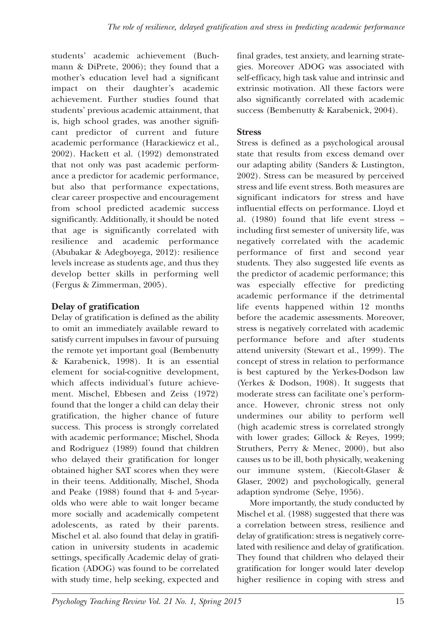students' academic achievement (Buchmann & DiPrete, 2006); they found that a mother's education level had a significant impact on their daughter's academic achievement. Further studies found that students' previous academic attainment, that is, high school grades, was another significant predictor of current and future academic performance (Harackiewicz et al., 2002). Hackett et al. (1992) demonstrated that not only was past academic performance a predictor for academic performance, but also that performance expectations, clear career prospective and encouragement from school predicted academic success significantly. Additionally, it should be noted that age is significantly correlated with resilience and academic performance (Abubakar & Adegboyega, 2012): resilience levels increase as students age, and thus they develop better skills in performing well (Fergus & Zimmerman, 2005).

# **Delay of gratification**

Delay of gratification is defined as the ability to omit an immediately available reward to satisfy current impulses in favour of pursuing the remote yet important goal (Bembenutty & Karabenick, 1998). It is an essential element for social-cognitive development, which affects individual's future achievement. Mischel, Ebbesen and Zeiss (1972) found that the longer a child can delay their gratification, the higher chance of future success. This process is strongly correlated with academic performance; Mischel, Shoda and Rodriguez (1989) found that children who delayed their gratification for longer obtained higher SAT scores when they were in their teens. Additionally, Mischel, Shoda and Peake (1988) found that 4- and 5-yearolds who were able to wait longer became more socially and academically competent adolescents, as rated by their parents. Mischel et al. also found that delay in gratification in university students in academic settings, specifically Academic delay of gratification (ADOG) was found to be correlated with study time, help seeking, expected and

final grades, test anxiety, and learning strategies. Moreover ADOG was associated with self-efficacy, high task value and intrinsic and extrinsic motivation. All these factors were also significantly correlated with academic success (Bembenutty & Karabenick, 2004).

#### **Stress**

Stress is defined as a psychological arousal state that results from excess demand over our adapting ability (Sanders & Lustington, 2002). Stress can be measured by perceived stress and life event stress. Both measures are significant indicators for stress and have influential effects on performance. Lloyd et al. (1980) found that life event stress – including first semester of university life, was negatively correlated with the academic performance of first and second year students. They also suggested life events as the predictor of academic performance; this was especially effective for predicting academic performance if the detrimental life events happened within 12 months before the academic assessments. Moreover, stress is negatively correlated with academic performance before and after students attend university (Stewart et al., 1999). The concept of stress in relation to performance is best captured by the Yerkes-Dodson law (Yerkes & Dodson, 1908). It suggests that moderate stress can facilitate one's performance. However, chronic stress not only undermines our ability to perform well (high academic stress is correlated strongly with lower grades; Gillock & Reyes, 1999; Struthers, Perry & Menec, 2000), but also causes us to be ill, both physically, weakening our immune system, (Kiecolt-Glaser & Glaser, 2002) and psychologically, general adaption syndrome (Selye, 1956).

More importantly, the study conducted by Mischel et al. (1988) suggested that there was a correlation between stress, resilience and delay of gratification: stress is negatively correlated with resilience and delay of gratification. They found that children who delayed their gratification for longer would later develop higher resilience in coping with stress and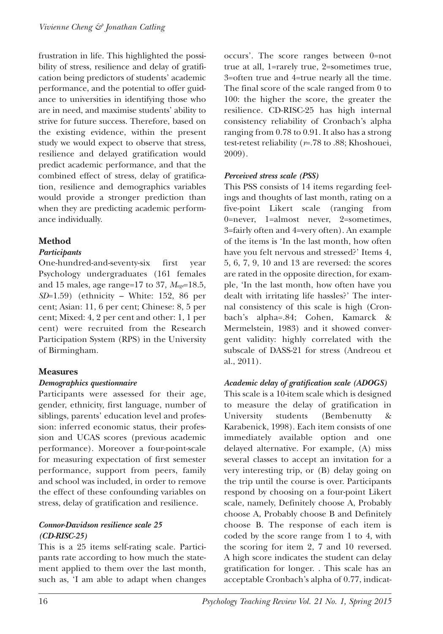frustration in life. This highlighted the possibility of stress, resilience and delay of gratification being predictors of students' academic performance, and the potential to offer guidance to universities in identifying those who are in need, and maximise students' ability to strive for future success. Therefore, based on the existing evidence, within the present study we would expect to observe that stress, resilience and delayed gratification would predict academic performance, and that the combined effect of stress, delay of gratification, resilience and demographics variables would provide a stronger prediction than when they are predicting academic performance individually.

## **Method**

#### *Participants*

One-hundred-and-seventy-six first year Psychology undergraduates (161 females and 15 males, age range=17 to 37, *Mage*=18.5, *SD*=1.59) (ethnicity – White: 152, 86 per cent; Asian: 11, 6 per cent; Chinese: 8, 5 per cent; Mixed: 4, 2 per cent and other: 1, 1 per cent) were recruited from the Research Participation System (RPS) in the University of Birmingham.

## **Measures**

#### *Demographics questionnaire*

Participants were assessed for their age, gender, ethnicity, first language, number of siblings, parents' education level and profession: inferred economic status, their profession and UCAS scores (previous academic performance). Moreover a four-point-scale for measuring expectation of first semester performance, support from peers, family and school was included, in order to remove the effect of these confounding variables on stress, delay of gratification and resilience.

#### *Connor-Davidson resilience scale 25 (CD-RISC-25)*

This is a 25 items self-rating scale. Participants rate according to how much the statement applied to them over the last month, such as, 'I am able to adapt when changes occurs'. The score ranges between 0=not true at all, 1=rarely true, 2=sometimes true, 3=often true and 4=true nearly all the time. The final score of the scale ranged from 0 to 100: the higher the score, the greater the resilience. CD-RISC-25 has high internal consistency reliability of Cronbach's alpha ranging from 0.78 to 0.91. It also has a strong test-retest reliability (*r*=.78 to .88; Khoshouei, 2009).

#### *Perceived stress scale (PSS)*

This PSS consists of 14 items regarding feelings and thoughts of last month, rating on a five-point Likert scale (ranging from 0=never, 1=almost never, 2=sometimes, 3=fairly often and 4=very often). An example of the items is 'In the last month, how often have you felt nervous and stressed?' Items 4, 5, 6, 7, 9, 10 and 13 are reversed: the scores are rated in the opposite direction, for example, 'In the last month, how often have you dealt with irritating life hassles?' The internal consistency of this scale is high (Cronbach's alpha=.84; Cohen, Kamarck & Mermelstein, 1983) and it showed convergent validity: highly correlated with the subscale of DASS-21 for stress (Andreou et al., 2011).

#### *Academic delay of gratification scale (ADOGS)*

This scale is a 10-item scale which is designed to measure the delay of gratification in University students (Bembenutty & Karabenick, 1998). Each item consists of one immediately available option and one delayed alternative. For example, (A) miss several classes to accept an invitation for a very interesting trip, or (B) delay going on the trip until the course is over. Participants respond by choosing on a four-point Likert scale, namely, Definitely choose A, Probably choose A, Probably choose B and Definitely choose B. The response of each item is coded by the score range from 1 to 4, with the scoring for item 2, 7 and 10 reversed. A high score indicates the student can delay gratification for longer. . This scale has an acceptable Cronbach's alpha of 0.77, indicat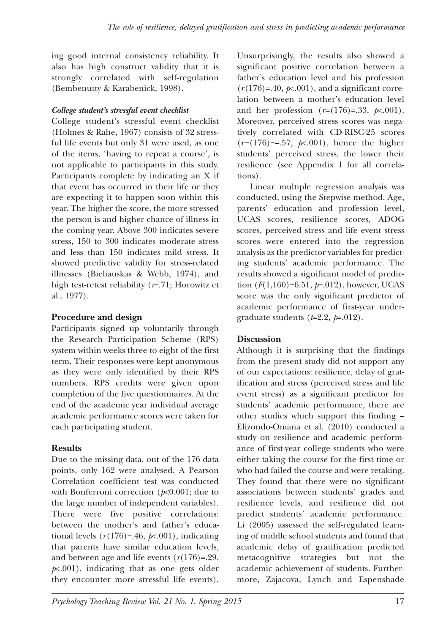ing good internal consistency reliability. It also has high construct validity that it is strongly correlated with self-regulation (Bembenutty & Karabenick, 1998).

## *College student's stressful event checklist*

College student's stressful event checklist (Holmes & Rahe, 1967) consists of 32 stressful life events but only 31 were used, as one of the items, 'having to repeat a course', is not applicable to participants in this study. Participants complete by indicating an X if that event has occurred in their life or they are expecting it to happen soon within this year. The higher the score, the more stressed the person is and higher chance of illness in the coming year. Above 300 indicates severe stress, 150 to 300 indicates moderate stress and less than 150 indicates mild stress. It showed predictive validity for stress-related illnesses (Bieliauskas & Webb, 1974), and high test-retest reliability (*r*=.71; Horowitz et al., 1977).

# **Procedure and design**

Participants signed up voluntarily through the Research Participation Scheme (RPS) system within weeks three to eight of the first term. Their responses were kept anonymous as they were only identified by their RPS numbers. RPS credits were given upon completion of the five questionnaires. At the end of the academic year individual average academic performance scores were taken for each participating student.

# **Results**

Due to the missing data, out of the 176 data points, only 162 were analysed. A Pearson Correlation coefficient test was conducted with Bonferroni correction (*p*<0.001; due to the large number of independent variables). There were five positive correlations: between the mother's and father's educational levels  $(r(176)=.46, \cancel{p}$ .001), indicating that parents have similar education levels, and between age and life events  $(r(176)=.29)$ ,  $p<sub>0</sub>(001)$ , indicating that as one gets older they encounter more stressful life events).

Unsurprisingly, the results also showed a significant positive correlation between a father's education level and his profession  $(r(176)=.40, \cancel{\text{p}\times001})$ , and a significant correlation between a mother's education level and her profession  $(r=(176)=.33, \, \cancel{p} \times 0.001)$ . Moreover, perceived stress scores was negatively correlated with CD-RISC-25 scores  $(r=(176)=-.57, \cancel{p}(-0.01)$ , hence the higher students' perceived stress, the lower their resilience (see Appendix 1 for all correlations).

Linear multiple regression analysis was conducted, using the Stepwise method. Age, parents' education and profession level, UCAS scores, resilience scores, ADOG scores, perceived stress and life event stress scores were entered into the regression analysis as the predictor variables for predicting students' academic performance. The results showed a significant model of prediction (*F*(1,160)=6.51, *p*=.012), however, UCAS score was the only significant predictor of academic performance of first-year undergraduate students (*t*=2.2, *p*=.012).

# **Discussion**

Although it is surprising that the findings from the present study did not support any of our expectations: resilience, delay of gratification and stress (perceived stress and life event stress) as a significant predictor for students' academic performance, there are other studies which support this finding – Elizondo-Omana et al. (2010) conducted a study on resilience and academic performance of first-year college students who were either taking the course for the first time or who had failed the course and were retaking. They found that there were no significant associations between students' grades and resilience levels, and resilience did not predict students' academic performance. Li (2005) assessed the self-regulated learning of middle school students and found that academic delay of gratification predicted metacognitive strategies but not the academic achievement of students. Furthermore, Zajacova, Lynch and Espenshade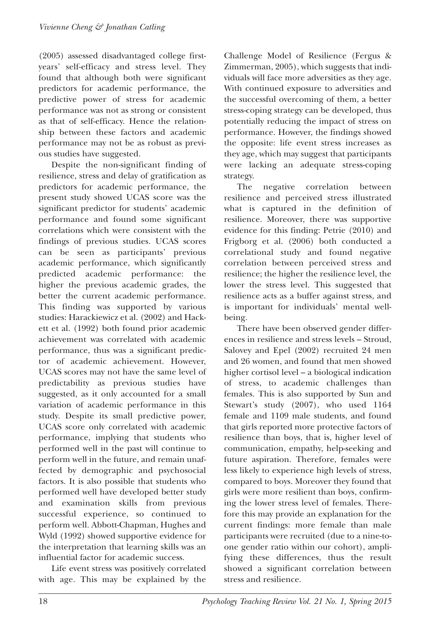(2005) assessed disadvantaged college firstyears' self-efficacy and stress level. They found that although both were significant predictors for academic performance, the predictive power of stress for academic performance was not as strong or consistent as that of self-efficacy. Hence the relationship between these factors and academic performance may not be as robust as previous studies have suggested.

Despite the non-significant finding of resilience, stress and delay of gratification as predictors for academic performance, the present study showed UCAS score was the significant predictor for students' academic performance and found some significant correlations which were consistent with the findings of previous studies. UCAS scores can be seen as participants' previous academic performance, which significantly predicted academic performance: the higher the previous academic grades, the better the current academic performance. This finding was supported by various studies: Harackiewicz et al. (2002) and Hackett et al. (1992) both found prior academic achievement was correlated with academic performance, thus was a significant predictor of academic achievement. However, UCAS scores may not have the same level of predictability as previous studies have suggested, as it only accounted for a small variation of academic performance in this study. Despite its small predictive power, UCAS score only correlated with academic performance, implying that students who performed well in the past will continue to perform well in the future, and remain unaffected by demographic and psychosocial factors. It is also possible that students who performed well have developed better study and examination skills from previous successful experience, so continued to perform well. Abbott-Chapman, Hughes and Wyld (1992) showed supportive evidence for the interpretation that learning skills was an influential factor for academic success.

Life event stress was positively correlated with age. This may be explained by the Challenge Model of Resilience (Fergus & Zimmerman, 2005), which suggests that individuals will face more adversities as they age. With continued exposure to adversities and the successful overcoming of them, a better stress-coping strategy can be developed, thus potentially reducing the impact of stress on performance. However, the findings showed the opposite: life event stress increases as they age, which may suggest that participants were lacking an adequate stress-coping strategy.

The negative correlation between resilience and perceived stress illustrated what is captured in the definition of resilience. Moreover, there was supportive evidence for this finding: Petrie (2010) and Frigborg et al. (2006) both conducted a correlational study and found negative correlation between perceived stress and resilience; the higher the resilience level, the lower the stress level. This suggested that resilience acts as a buffer against stress, and is important for individuals' mental wellbeing.

There have been observed gender differences in resilience and stress levels – Stroud, Salovey and Epel (2002) recruited 24 men and 26 women, and found that men showed higher cortisol level – a biological indication of stress, to academic challenges than females. This is also supported by Sun and Stewart's study (2007), who used 1164 female and 1109 male students, and found that girls reported more protective factors of resilience than boys, that is, higher level of communication, empathy, help-seeking and future aspiration. Therefore, females were less likely to experience high levels of stress, compared to boys. Moreover they found that girls were more resilient than boys, confirming the lower stress level of females. Therefore this may provide an explanation for the current findings: more female than male participants were recruited (due to a nine-toone gender ratio within our cohort), amplifying these differences, thus the result showed a significant correlation between stress and resilience.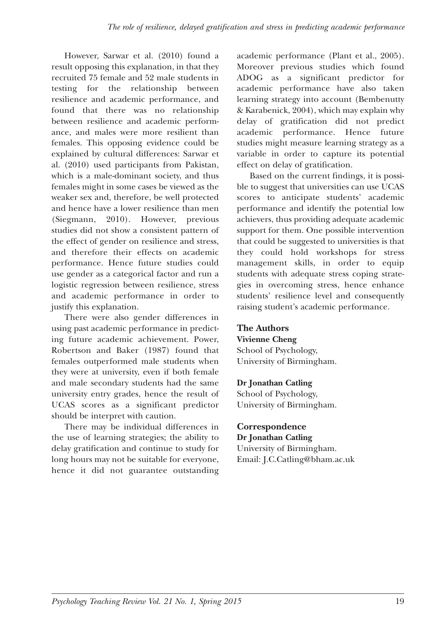However, Sarwar et al. (2010) found a result opposing this explanation, in that they recruited 75 female and 52 male students in testing for the relationship between resilience and academic performance, and found that there was no relationship between resilience and academic performance, and males were more resilient than females. This opposing evidence could be explained by cultural differences: Sarwar et al. (2010) used participants from Pakistan, which is a male-dominant society, and thus females might in some cases be viewed as the weaker sex and, therefore, be well protected and hence have a lower resilience than men (Siegmann, 2010). However, previous studies did not show a consistent pattern of the effect of gender on resilience and stress, and therefore their effects on academic performance. Hence future studies could use gender as a categorical factor and run a logistic regression between resilience, stress and academic performance in order to justify this explanation.

There were also gender differences in using past academic performance in predicting future academic achievement. Power, Robertson and Baker (1987) found that females outperformed male students when they were at university, even if both female and male secondary students had the same university entry grades, hence the result of UCAS scores as a significant predictor should be interpret with caution.

There may be individual differences in the use of learning strategies; the ability to delay gratification and continue to study for long hours may not be suitable for everyone, hence it did not guarantee outstanding academic performance (Plant et al., 2005). Moreover previous studies which found ADOG as a significant predictor for academic performance have also taken learning strategy into account (Bembenutty & Karabenick, 2004), which may explain why delay of gratification did not predict academic performance. Hence future studies might measure learning strategy as a variable in order to capture its potential effect on delay of gratification.

Based on the current findings, it is possible to suggest that universities can use UCAS scores to anticipate students' academic performance and identify the potential low achievers, thus providing adequate academic support for them. One possible intervention that could be suggested to universities is that they could hold workshops for stress management skills, in order to equip students with adequate stress coping strategies in overcoming stress, hence enhance students' resilience level and consequently raising student's academic performance.

**The Authors Vivienne Cheng** School of Psychology, University of Birmingham.

#### **Dr Jonathan Catling**

School of Psychology, University of Birmingham.

#### **Correspondence Dr Jonathan Catling**

University of Birmingham. Email: J.C.Catling@bham.ac.uk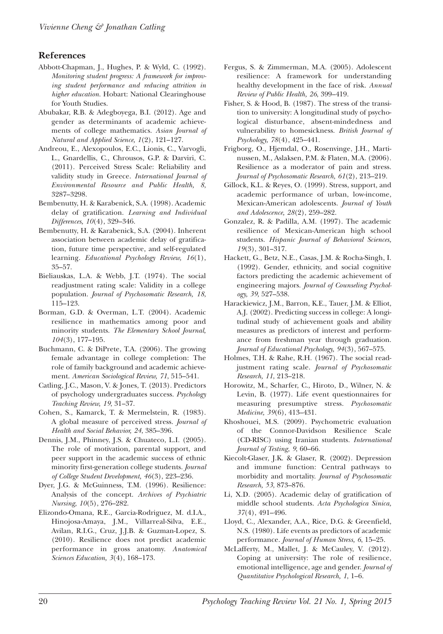#### **References**

- Abbott-Chapman, J., Hughes, P. & Wyld, C. (1992). *Monitoring student progress: A framework for improving student performance and reducing attrition in higher education.* Hobart: National Clearinghouse for Youth Studies.
- Abubakar, R.B. & Adegboyega, B.I. (2012). Age and gender as determinants of academic achievements of college mathematics. *Asian Journal of Natural and Applied Science, 1*(2), 121–127.
- Andreou, E., Alexopoulos, E.C., Lionis, C., Varvogli, L., Gnardellis, C., Chrousos, G.P. & Darviri, C. (2011). Perceived Stress Scale: Reliability and validity study in Greece. *International Journal of Environmental Resource and Public Health, 8*, 3287–3298.
- Bembenutty, H. & Karabenick, S.A. (1998). Academic delay of gratification. *Learning and Individual Differences, 10*(4), 329–346.
- Bembenutty, H. & Karabenick, S.A. (2004). Inherent association between academic delay of gratification, future time perspective, and self-regulated learning. *Educational Psychology Review, 16*(1), 35–57.
- Bieliauskas, L.A. & Webb, J.T. (1974). The social readjustment rating scale: Validity in a college population. *Journal of Psychosomatic Research, 18*, 115–123.
- Borman, G.D. & Overman, L.T. (2004). Academic resilience in mathematics among poor and minority students. *The Elementary School Journal, 104*(3), 177–195.
- Buchmann, C. & DiPrete, T.A. (2006). The growing female advantage in college completion: The role of family background and academic achievement. *American Sociological Review, 71*, 515–541.
- Catling, J.C., Mason, V. & Jones, T. (2013). Predictors of psychology undergraduates success. *Psychology Teaching Review, 19*, 31–37.
- Cohen, S., Kamarck, T. & Mermelstein, R. (1983). A global measure of perceived stress. *Journal of Health and Social Behavior, 24*, 385–396.
- Dennis, J.M., Phinney, J.S. & Chuateco, L.I. (2005). The role of motivation, parental support, and peer support in the academic success of ethnic minority first-generation college students. *Journal of College Student Development, 46*(3), 223–236.
- Dyer, J.G. & McGuinness, T.M. (1996). Resilience: Analysis of the concept. *Archives of Psychiatric Nursing, 10*(5), 276–282.
- Elizondo-Omana, R.E., Garcia-Rodriguez, M. d.I.A., Hinojosa-Amaya, J.M., Villarreal-Silva, E.E., Avilan, R.I.G., Cruz, J.J.B. & Guzman-Lopez, S. (2010). Resilience does not predict academic performance in gross anatomy. *Anatomical Sciences Education, 3*(4), 168–173.
- Fergus, S. & Zimmerman, M.A. (2005). Adolescent resilience: A framework for understanding healthy development in the face of risk. *Annual Review of Public Health, 26*, 399–419.
- Fisher, S. & Hood, B. (1987). The stress of the transition to university: A longitudinal study of psychological disturbance, absent-mindedness and vulnerability to homesickness. *British Journal of Psychology, 78*(4), 425–441.
- Frigborg, O., Hjemdal, O., Rosenvinge, J.H., Martinussen, M., Aslaksen, P.M. & Flaten, M.A. (2006). Resilience as a moderator of pain and stress. *Journal of Psychosomatic Research, 61*(2), 213–219.
- Gillock, K.L. & Reyes, O. (1999). Stress, support, and academic performance of urban, low-income, Mexican-American adolescents. *Journal of Youth and Adolescence, 28*(2), 259–282.
- Gonzalez, R. & Padilla, A.M. (1997). The academic resilience of Mexican-American high school students. *Hispanic Journal of Behavioral Sciences, 19*(3), 301–317.
- Hackett, G., Betz, N.E., Casas, J.M. & Rocha-Singh, I. (1992). Gender, ethnicity, and social cognitive factors predicting the academic achievement of engineering majors. *Journal of Counseling Psychology, 39*, 527–538.
- Harackiewicz, J.M., Barron, K.E., Tauer, J.M. & Elliot, A.J. (2002). Predicting success in college: A longitudinal study of achievement goals and ability measures as predictors of interest and performance from freshman year through graduation. *Journal of Educational Psychology, 94*(3), 567–575.
- Holmes, T.H. & Rahe, R.H. (1967). The social readjustment rating scale. *Journal of Psychosomatic Research, 11*, 213–218.
- Horowitz, M., Scharfer, C., Hiroto, D., Wilner, N. & Levin, B. (1977). Life event questionnaires for measuring presumptive stress. *Psychosomatic Medicine, 39*(6), 413–431.
- Khoshouei, M.S. (2009). Psychometric evaluation of the Connor-Davidson Resilience Scale (CD-RISC) using Iranian students. *International Journal of Testing, 9*, 60–66.
- Kiecolt-Glaser, J.K. & Glaser, R. (2002). Depression and immune function: Central pathways to morbidity and mortality. *Journal of Psychosomatic Research, 53*, 873–876.
- Li, X.D. (2005). Academic delay of gratification of middle school students. *Acta Psychologica Sinica, 37*(4), 491–496.
- Lloyd, C., Alexander, A.A., Rice, D.G. & Greenfield, N.S. (1980). Life events as predictors of academic performance. *Journal of Human Stress, 6*, 15–25.
- McLafferty, M., Mallet, J. & McCauley, V. (2012). Coping at university: The role of resilience, emotional intelligence, age and gender. *Journal of Quantitative Psychological Research, 1*, 1–6.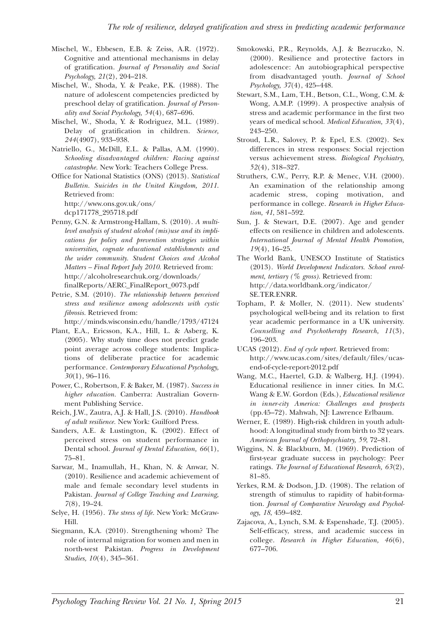- Mischel, W., Ebbesen, E.B. & Zeiss, A.R. (1972). Cognitive and attentional mechanisms in delay of gratification. *Journal of Personality and Social Psychology, 21*(2), 204–218.
- Mischel, W., Shoda, Y. & Peake, P.K. (1988). The nature of adolescent competencies predicted by preschool delay of gratification. *Journal of Personality and Social Psychology, 54*(4), 687–696.
- Mischel, W., Shoda, Y. & Rodriguez, M.L. (1989). Delay of gratification in children. *Science, 244*(4907), 933–938.
- Natriello, G., McDill, E.L. & Pallas, A.M. (1990). *Schooling disadvantaged children: Racing against catastrophe.* New York: Teachers College Press.
- Office for National Statistics (ONS) (2013). *Statistical Bulletin. Suicides in the United Kingdom, 2011*. Retrieved from: http://www.ons.gov.uk/ons/

dcp171778\_295718.pdf

- Penny, G.N. & Armstrong-Hallam, S. (2010). *A multilevel analysis of student alcohol (mis)use and its implications for policy and prevention strategies within universities, cognate educational establishments and the wider community. Student Choices and Alcohol Matters – Final Report July 2010*. Retrieved from: http://alcoholresearchuk.org/downloads/ finalReports/AERC\_FinalReport\_0073.pdf
- Petrie, S.M. (2010). *The relationship between perceived stress and resilience among adolescents with cystic fibrosis.* Retrieved from:

http://minds.wisconsin.edu/handle/1793/47124

- Plant, E.A., Ericsson, K.A., Hill, L. & Asberg, K. (2005). Why study time does not predict grade point average across college students: Implications of deliberate practice for academic performance. *Contemporary Educational Psychology, 30*(1), 96–116.
- Power, C., Robertson, F. & Baker, M. (1987). *Success in higher education.* Canberra: Australian Government Publishing Service.
- Reich, J.W., Zautra, A.J. & Hall, J.S. (2010). *Handbook of adult resilience.* New York: Guilford Press.
- Sanders, A.E. & Lustington, K. (2002). Effect of perceived stress on student performance in Dental school. *Journal of Dental Education, 66*(1), 75–81.
- Sarwar, M., Inamullah, H., Khan, N. & Anwar, N. (2010). Resilience and academic achievement of male and female secondary level students in Pakistan. *Journal of College Teaching and Learning, 7*(8), 19–24.
- Selye, H. (1956). *The stress of life.* New York: McGraw-Hill.
- Siegmann, K.A. (2010). Strengthening whom? The role of internal migration for women and men in north-west Pakistan. *Progress in Development Studies, 10*(4), 345–361.
- Smokowski, P.R., Reynolds, A.J. & Bezruczko, N. (2000). Resilience and protective factors in adolescence: An autobiographical perspective from disadvantaged youth. *Journal of School Psychology, 37*(4), 425–448.
- Stewart, S.M., Lam, T.H., Betson, C.L., Wong, C.M. & Wong, A.M.P. (1999). A prospective analysis of stress and academic performance in the first two years of medical school. *Medical Education, 33*(4), 243–250.
- Stroud, L.R., Salovey, P. & Epel, E.S. (2002). Sex differences in stress responses: Social rejection versus achievement stress. *Biological Psychiatry, 52*(4), 318–327.
- Struthers, C.W., Perry, R.P. & Menec, V.H. (2000). An examination of the relationship among academic stress, coping motivation, and performance in college. *Research in Higher Education, 41*, 581–592.
- Sun, J. & Stewart, D.E. (2007). Age and gender effects on resilience in children and adolescents. *International Journal of Mental Health Promotion, 19*(4), 16–25.
- The World Bank, UNESCO Institute of Statistics (2013). *World Development Indicators. School enrolment, tertiary (% gross).* Retrieved from: http://data.worldbank.org/indicator/ SE.TER.ENRR.
- Topham, P. & Moller, N. (2011). New students' psychological well-being and its relation to first year academic performance in a UK university. *Counselling and Psychotherapy Research, 11*(3), 196–203.
- UCAS (2012). *End of cycle report.* Retrieved from: http://www.ucas.com/sites/default/files/ucasend-of-cycle-report-2012.pdf
- Wang, M.C., Haertel, G.D. & Walberg, H.J. (1994). Educational resilience in inner cities. In M.C. Wang & E.W. Gordon (Eds.), *Educational resilience in inner-city America: Challenges and prospects* (pp.45–72). Mahwah, NJ: Lawrence Erlbaum.
- Werner, E. (1989). High-risk children in youth adulthood: A longitudinal study from birth to 32 years. *American Journal of Orthopsychiatry, 59*, 72–81.
- Wiggins, N. & Blackburn, M. (1969). Prediction of first-year graduate success in psychology: Peer ratings. *The Journal of Educational Research, 63*(2), 81–85.
- Yerkes, R.M. & Dodson, J.D. (1908). The relation of strength of stimulus to rapidity of habit-formation. *Journal of Comparative Neurology and Psychology, 18*, 459–482.
- Zajacova, A., Lynch, S.M. & Espenshade, T.J. (2005). Self-efficacy, stress, and academic success in college. *Research in Higher Education, 46*(6), 677–706.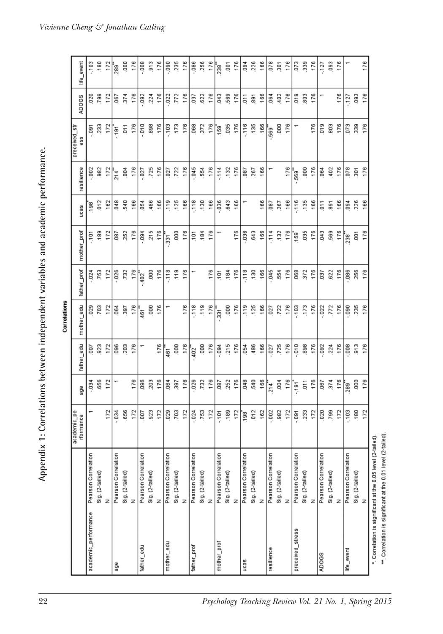Appendix 1: Correlations between independent variables and academic performance. **Appendix 1: Correlations between independent variables and academic performance.**

|                                                 |                                      |                          |                |            | Correlations |             |                    |            |            |                      |          |                |
|-------------------------------------------------|--------------------------------------|--------------------------|----------------|------------|--------------|-------------|--------------------|------------|------------|----------------------|----------|----------------|
|                                                 |                                      | academic_pe<br>rformance | age            | father_edu | mother_edu   | father_prof | mother_prof        | ucas       | resilience | preceived_str<br>ess | ADOGS    | life_event     |
| academic_performance                            | Pearson Correlation                  | ÷                        | $-0.34$        | 200        | 029          | $-0.24$     | č.                 | 198        | 002        | $\overline{9}$       | 020      | $-103$         |
|                                                 | Sig. (2-tailed)                      |                          | 656            | 923        | <b>FO2</b>   | .753        | ,189               | 012        | 982        | 233                  | 799      | ,180           |
|                                                 | z                                    | 172                      | 172            | 172        | 172          | 172         | 172                | 162        | 172        | 172                  | 172      | 172            |
| age                                             | Pearson Correlation                  | 034                      |                | 096        | 064          | .026        | 180                | 048        | 214        | $-191$               | .067     | -<br>289       |
|                                                 | Sig. (2-tailed)                      | .656                     |                | 203        | .397         | .732        | .252               | 540        | 004        | $\overline{0}$ 11    | 374      | 000            |
|                                                 | z                                    | 172                      | 176            | 176        | 176          | 176         | 176                | 166        | 176        | 176                  | 176      | 176            |
| father_edu                                      | Pearson Correlation                  | 700                      | .096           |            | 461          | 402         | .094               | .054       | .027       | 010                  | .092     | .008           |
|                                                 | Sig. (2-tailed)                      | 923                      | 203            |            | 80           | 000         | 215                | 486        | ,725       | 898                  | .224     | $\frac{3}{13}$ |
|                                                 | $\overline{z}$                       | 172                      | 176            | 176        | 176          | 176         | 176                | 166        | 176        | 176                  | 176      | 176            |
| mother_edu                                      | Ξ<br>Pearson Correlatio              | 029                      | .064           | 461        |              | $-118$      | 331                | 119        | 027        | .103                 | 022      | .090           |
|                                                 | Sig. (2-tailed)                      | 703                      | 397            | 000        |              | 119         | 000                | 125        | 722        | 173                  | .772     | 235            |
|                                                 | $\overline{z}$                       | 172                      | 176            | 176        | 176          | 176         | 176                | 166        | 176        | 176                  | 176      | 176            |
| father_prof                                     | $\equiv$<br>Pearson Correlatio       | 024                      | .026           | $-402$     | $-118$       |             | $\frac{5}{101}$    | $-118$     | $-045$     | .068                 | 180      | .086           |
|                                                 | Sig. (2-tailed)                      | ,753                     | 732            | 000        | .119         |             | .184               | 130        | 554        | 372                  | 622      | 256            |
|                                                 | $\overline{z}$                       | 172                      | 176            | 176        | 176          | 176         | 176                | 166        | 176        | 176                  | 176      | 176            |
| mother_prof                                     | $\overline{=}$<br>Pearson Correlatio | $-101$                   | <b>180</b>     | 094        | $-331$       | 101         |                    | .036       | $-114$     | $\frac{159}{2}$      | 043      | $\frac{1}{2}$  |
|                                                 | Sig. (2-tailed)                      | .189                     | 252            | 215        | 000          | .184        |                    | 643        | 132        | .035                 | 569      | $\overline{0}$ |
|                                                 | $\overline{z}$                       | 172                      | 176            | 176        | 176          | 176         | 176                | 166        | 176        | 176                  | 176      | 176            |
| ucas                                            | Pearson Correlation                  | $\frac{1}{18}$           | 048            | .054       | 119          | $-118$      | $-0.36$            |            | <b>G87</b> | $-116$               | $-011$   | .094           |
|                                                 | Sig. (2-tailed)                      | 012                      | 540            | 486        | 125          | .130        | 643                |            | 267        | 135                  | 891      | 226            |
|                                                 | $\overline{z}$                       | 162                      | 166            | 166        | 166          | 166         | 166                | 166        | 166        | 166                  | 166      | 166            |
| resilience                                      | Pearson Correlation                  | ,002                     | 214            | .027       | 027          | .045        | $-114$             | <b>180</b> |            | 569                  | .064     | .078           |
|                                                 | Sig. (2-tailed)                      | 982                      | 004            | .725       | .722         | 554         | 132                | 267        |            | 000                  | 402      | 301            |
|                                                 | $\overline{z}$                       | 172                      | 176            | 176        | 176          | 176         | 176                | 166        | 176        | 176                  | 176      | 176            |
| preceived_stress                                | Pearson Correlation                  | $\overline{0}91$         | $-191$         | $-010$     | $-103$       | .068        | $\frac{159}{2}$    | $-116$     | 569        |                      | $5^{19}$ | 073            |
|                                                 | Sig. (2-tailed)                      | 233                      | $\overline{5}$ | 898        | .173         | 372         | .035               | .135       | 000        |                      | 803      | 339            |
|                                                 | $\overline{z}$                       | 172                      | 176            | 176        | 176          | 176         | 176                | 166        | 176        | 176                  | 176      | 176            |
| ADOGS                                           | Pearson Correlation                  | 020                      | .067           | .092       | .022         | 180         | .043               | 511        | .064       | 519                  | ٣        | $-127$         |
|                                                 | Sig. (2-tailed)                      | 799                      | 374            | .224       | 772          | .622        | 569                | 891        | 402        | 803                  |          | .093           |
|                                                 | $\overline{z}$                       | 172                      | 176            | 176        | 176          | 176         | 176                | 166        | 176        | 176                  | 176      | 176            |
| life_event                                      | Pearson Correlation                  | $-103$                   | <b>289</b>     | $-008$     | 0.090        | .086        | $238$ <sup>*</sup> | 094        | .078       | 073                  | $-127$   |                |
|                                                 | Sig. (2-tailed)                      | .180                     | ,000           | 913        | 235          | 256         | $\overline{5}$     | .226       | 301        | 339                  | .093     |                |
|                                                 | Z                                    | 172                      | 176            | 176        | 176          | 176         | 176                | 166        | 176        | 176                  | 176      | 176            |
| *. Correlation is significant at the 0.05 level |                                      | (2-tailed).              |                |            |              |             |                    |            |            |                      |          |                |

*Vivienne Cheng & Jonathan Catling*

\*\*\*. Correlation is significant at the 0.01 level (2-tailed).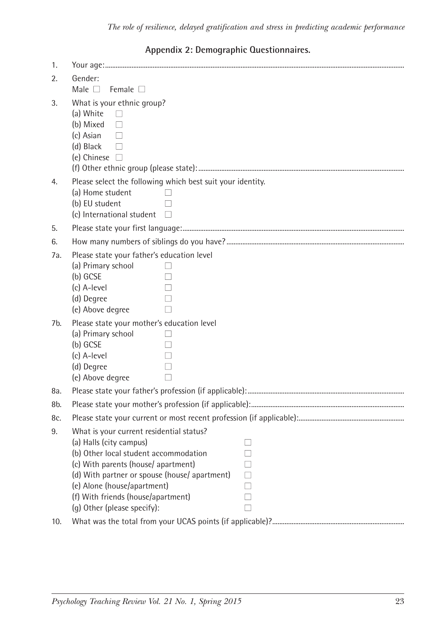## **Appendix 2: Demographic Questionnaires.**

| 1.  |                                                                                                                                                                                                                                                                                                                                      |                                        |  |  |
|-----|--------------------------------------------------------------------------------------------------------------------------------------------------------------------------------------------------------------------------------------------------------------------------------------------------------------------------------------|----------------------------------------|--|--|
| 2.  | Gender:                                                                                                                                                                                                                                                                                                                              |                                        |  |  |
|     | Female $\square$<br>Male $\Box$                                                                                                                                                                                                                                                                                                      |                                        |  |  |
| 3.  | What is your ethnic group?<br>(a) White<br>$\Box$<br>(b) Mixed<br>П<br>(c) Asian<br>$\Box$<br>(d) Black<br>$\Box$<br>(e) Chinese $\Box$                                                                                                                                                                                              |                                        |  |  |
|     | Please select the following which best suit your identity.                                                                                                                                                                                                                                                                           |                                        |  |  |
| 4.  | (a) Home student<br>(b) EU student<br>(c) International student                                                                                                                                                                                                                                                                      | $\perp$<br>П<br>$\Box$                 |  |  |
| 5.  |                                                                                                                                                                                                                                                                                                                                      |                                        |  |  |
| 6.  |                                                                                                                                                                                                                                                                                                                                      |                                        |  |  |
| 7а. | Please state your father's education level<br>(a) Primary school<br>(b) GCSE<br>(c) A-level<br>(d) Degree<br>(e) Above degree                                                                                                                                                                                                        | П<br>П<br>П<br>П                       |  |  |
| 7b. | Please state your mother's education level<br>(a) Primary school<br>(b) GCSE<br>(c) A-level<br>(d) Degree<br>(e) Above degree                                                                                                                                                                                                        | $\perp$<br>$\mathsf{L}$<br>П<br>П<br>П |  |  |
| 8a. |                                                                                                                                                                                                                                                                                                                                      |                                        |  |  |
| 8b. |                                                                                                                                                                                                                                                                                                                                      |                                        |  |  |
| 8c. |                                                                                                                                                                                                                                                                                                                                      |                                        |  |  |
| 9.  | What is your current residential status?<br>(a) Halls (city campus)<br>П<br>(b) Other local student accommodation<br>П<br>(c) With parents (house/apartment)<br>П<br>(d) With partner or spouse (house/apartment)<br>П<br>(e) Alone (house/apartment)<br>П<br>(f) With friends (house/apartment)<br>П<br>(g) Other (please specify): |                                        |  |  |
| 10. |                                                                                                                                                                                                                                                                                                                                      |                                        |  |  |